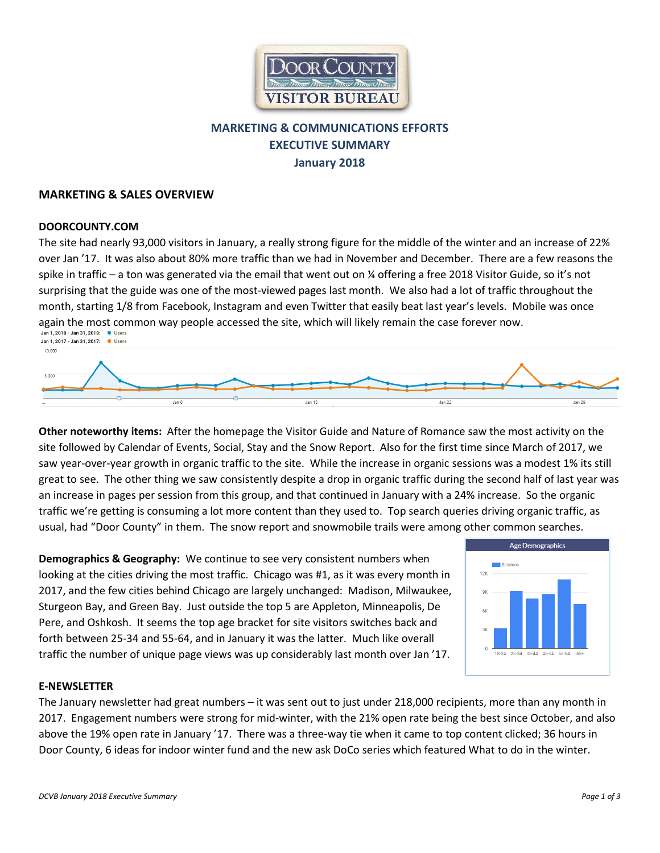

# **MARKETING & COMMUNICATIONS EFFORTS EXECUTIVE SUMMARY January 2018**

### **MARKETING & SALES OVERVIEW**

#### **DOORCOUNTY.COM**

The site had nearly 93,000 visitors in January, a really strong figure for the middle of the winter and an increase of 22% over Jan '17. It was also about 80% more traffic than we had in November and December. There are a few reasons the spike in traffic – a ton was generated via the email that went out on ¼ offering a free 2018 Visitor Guide, so it's not surprising that the guide was one of the most-viewed pages last month. We also had a lot of traffic throughout the month, starting 1/8 from Facebook, Instagram and even Twitter that easily beat last year's levels. Mobile was once again the most common way people accessed the site, which will likely remain the case forever now.<br>Jan 1, 2018 - Jan 31, 2018: (Pusers Jan 1, 2017 - Jan 31, 2017: 0 Users



**Other noteworthy items:** After the homepage the Visitor Guide and Nature of Romance saw the most activity on the site followed by Calendar of Events, Social, Stay and the Snow Report. Also for the first time since March of 2017, we saw year-over-year growth in organic traffic to the site. While the increase in organic sessions was a modest 1% its still great to see. The other thing we saw consistently despite a drop in organic traffic during the second half of last year was an increase in pages per session from this group, and that continued in January with a 24% increase. So the organic traffic we're getting is consuming a lot more content than they used to. Top search queries driving organic traffic, as usual, had "Door County" in them. The snow report and snowmobile trails were among other common searches.

**Demographics & Geography:** We continue to see very consistent numbers when looking at the cities driving the most traffic. Chicago was #1, as it was every month in 2017, and the few cities behind Chicago are largely unchanged: Madison, Milwaukee, Sturgeon Bay, and Green Bay. Just outside the top 5 are Appleton, Minneapolis, De Pere, and Oshkosh. It seems the top age bracket for site visitors switches back and forth between 25-34 and 55-64, and in January it was the latter. Much like overall traffic the number of unique page views was up considerably last month over Jan '17.



#### **E-NEWSLETTER**

The January newsletter had great numbers – it was sent out to just under 218,000 recipients, more than any month in 2017. Engagement numbers were strong for mid-winter, with the 21% open rate being the best since October, and also above the 19% open rate in January '17. There was a three-way tie when it came to top content clicked; 36 hours in Door County, 6 ideas for indoor winter fund and the new ask DoCo series which featured What to do in the winter.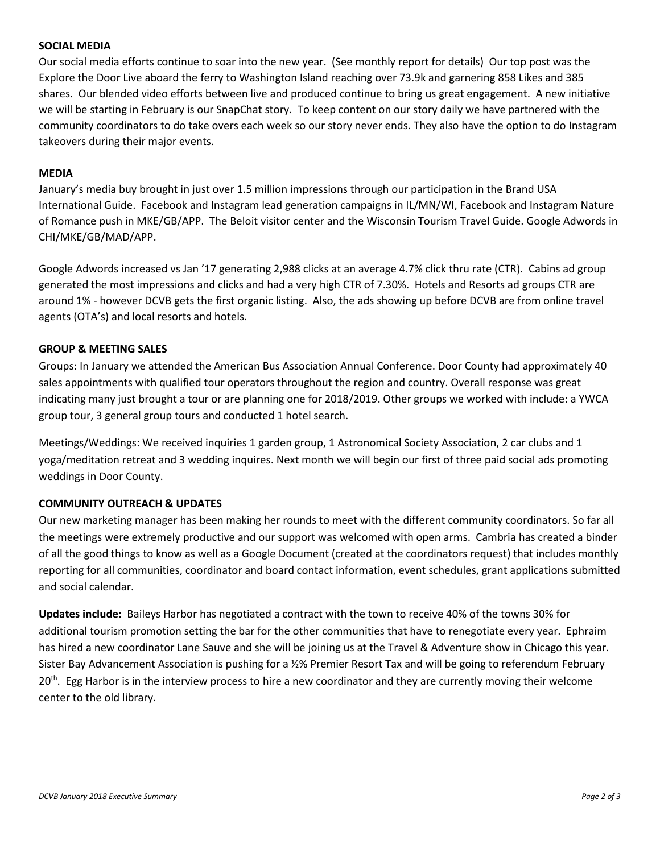#### **SOCIAL MEDIA**

Our social media efforts continue to soar into the new year. (See monthly report for details) Our top post was the Explore the Door Live aboard the ferry to Washington Island reaching over 73.9k and garnering 858 Likes and 385 shares. Our blended video efforts between live and produced continue to bring us great engagement. A new initiative we will be starting in February is our SnapChat story. To keep content on our story daily we have partnered with the community coordinators to do take overs each week so our story never ends. They also have the option to do Instagram takeovers during their major events.

#### **MEDIA**

January's media buy brought in just over 1.5 million impressions through our participation in the Brand USA International Guide. Facebook and Instagram lead generation campaigns in IL/MN/WI, Facebook and Instagram Nature of Romance push in MKE/GB/APP. The Beloit visitor center and the Wisconsin Tourism Travel Guide. Google Adwords in CHI/MKE/GB/MAD/APP.

Google Adwords increased vs Jan '17 generating 2,988 clicks at an average 4.7% click thru rate (CTR). Cabins ad group generated the most impressions and clicks and had a very high CTR of 7.30%. Hotels and Resorts ad groups CTR are around 1% - however DCVB gets the first organic listing. Also, the ads showing up before DCVB are from online travel agents (OTA's) and local resorts and hotels.

#### **GROUP & MEETING SALES**

Groups: In January we attended the American Bus Association Annual Conference. Door County had approximately 40 sales appointments with qualified tour operators throughout the region and country. Overall response was great indicating many just brought a tour or are planning one for 2018/2019. Other groups we worked with include: a YWCA group tour, 3 general group tours and conducted 1 hotel search.

Meetings/Weddings: We received inquiries 1 garden group, 1 Astronomical Society Association, 2 car clubs and 1 yoga/meditation retreat and 3 wedding inquires. Next month we will begin our first of three paid social ads promoting weddings in Door County.

### **COMMUNITY OUTREACH & UPDATES**

Our new marketing manager has been making her rounds to meet with the different community coordinators. So far all the meetings were extremely productive and our support was welcomed with open arms. Cambria has created a binder of all the good things to know as well as a Google Document (created at the coordinators request) that includes monthly reporting for all communities, coordinator and board contact information, event schedules, grant applications submitted and social calendar.

**Updates include:** Baileys Harbor has negotiated a contract with the town to receive 40% of the towns 30% for additional tourism promotion setting the bar for the other communities that have to renegotiate every year. Ephraim has hired a new coordinator Lane Sauve and she will be joining us at the Travel & Adventure show in Chicago this year. Sister Bay Advancement Association is pushing for a ½% Premier Resort Tax and will be going to referendum February 20<sup>th</sup>. Egg Harbor is in the interview process to hire a new coordinator and they are currently moving their welcome center to the old library.